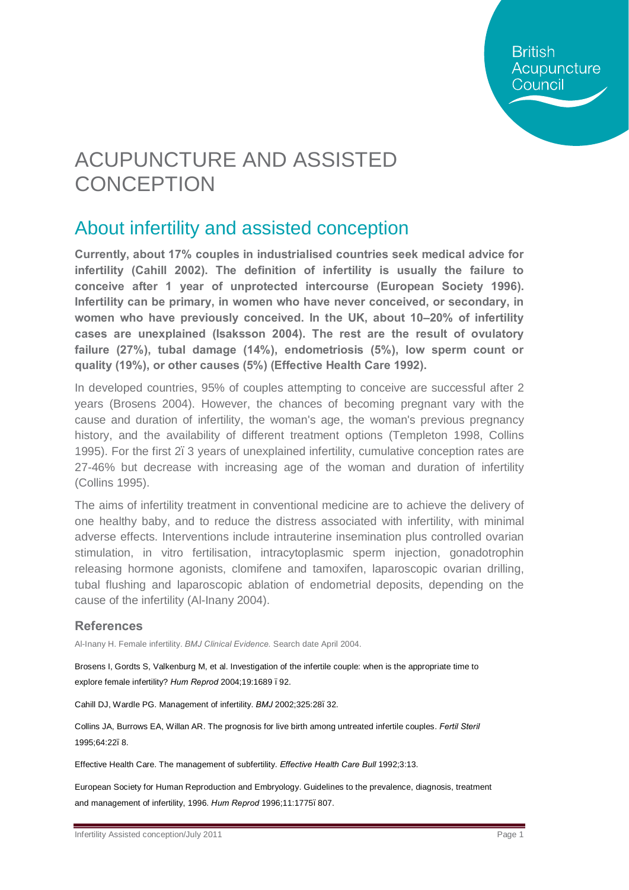**British** Acupuncture Council

# ACUPUNCTURE AND ASSISTED **CONCEPTION**

## About infertility and assisted conception

**Currently, about 17% couples in industrialised countries seek medical advice for infertility (Cahill 2002). The definition of infertility is usually the failure to conceive after 1 year of unprotected intercourse (European Society 1996). Infertility can be primary, in women who have never conceived, or secondary, in women who have previously conceived. In the UK, about 10–20% of infertility cases are unexplained (Isaksson 2004). The rest are the result of ovulatory failure (27%), tubal damage (14%), endometriosis (5%), low sperm count or quality (19%), or other causes (5%) (Effective Health Care 1992).** 

In developed countries, 95% of couples attempting to conceive are successful after 2 years (Brosens 2004). However, the chances of becoming pregnant vary with the cause and duration of infertility, the woman's age, the woman's previous pregnancy history, and the availability of different treatment options (Templeton 1998, Collins 1995). For the first 2. 3 years of unexplained infertility, cumulative conception rates are 27-46% but decrease with increasing age of the woman and duration of infertility (Collins 1995).

The aims of infertility treatment in conventional medicine are to achieve the delivery of one healthy baby, and to reduce the distress associated with infertility, with minimal adverse effects. Interventions include intrauterine insemination plus controlled ovarian stimulation, in vitro fertilisation, intracytoplasmic sperm injection, gonadotrophin releasing hormone agonists, clomifene and tamoxifen, laparoscopic ovarian drilling, tubal flushing and laparoscopic ablation of endometrial deposits, depending on the cause of the infertility (Al-Inany 2004).

#### **References**

Al-Inany H. Female infertility. *BMJ Clinical Evidence.* Search date April 2004.

Brosens I, Gordts S, Valkenburg M, et al. Investigation of the infertile couple: when is the appropriate time to explore female infertility? *Hum Reprod* 2004;19:1689 –92.

Cahill DJ, Wardle PG. Management of infertility. *BMJ* 2002;325:28–32.

Collins JA, Burrows EA, Willan AR. The prognosis for live birth among untreated infertile couples. *Fertil Steril*  1995;64:22–8.

Effective Health Care. The management of subfertility. *Effective Health Care Bull* 1992;3:13.

European Society for Human Reproduction and Embryology. Guidelines to the prevalence, diagnosis, treatment and management of infertility, 1996. *Hum Reprod* 1996;11:1775–807.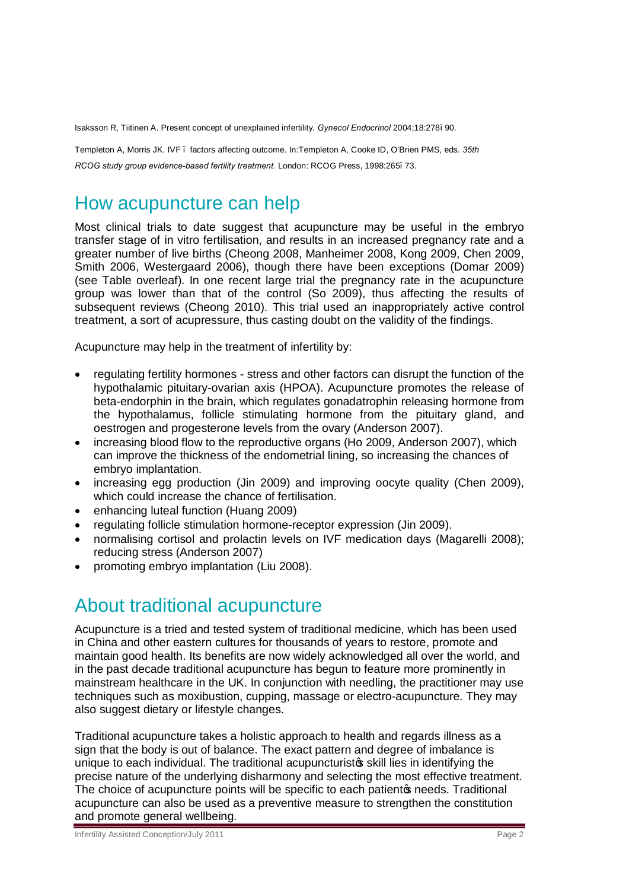Isaksson R, Tiitinen A. Present concept of unexplained infertility. *Gynecol Endocrinol* 2004;18:278–90.

Templeton A, Morris JK. IVF – factors affecting outcome. In:Templeton A, Cooke ID, O'Brien PMS, eds. *35th RCOG study group evidence-based fertility treatment*. London: RCOG Press, 1998:265–73.

## How acupuncture can help

Most clinical trials to date suggest that acupuncture may be useful in the embryo transfer stage of in vitro fertilisation, and results in an increased pregnancy rate and a greater number of live births (Cheong 2008, Manheimer 2008, Kong 2009, Chen 2009, Smith 2006, Westergaard 2006), though there have been exceptions (Domar 2009) (see Table overleaf). In one recent large trial the pregnancy rate in the acupuncture group was lower than that of the control (So 2009), thus affecting the results of subsequent reviews (Cheong 2010). This trial used an inappropriately active control treatment, a sort of acupressure, thus casting doubt on the validity of the findings.

Acupuncture may help in the treatment of infertility by:

- · regulating fertility hormones stress and other factors can disrupt the function of the hypothalamic pituitary-ovarian axis (HPOA). Acupuncture promotes the release of beta-endorphin in the brain, which regulates gonadatrophin releasing hormone from the hypothalamus, follicle stimulating hormone from the pituitary gland, and oestrogen and progesterone levels from the ovary (Anderson 2007).
- · increasing blood flow to the reproductive organs (Ho 2009, Anderson 2007), which can improve the thickness of the endometrial lining, so increasing the chances of embryo implantation.
- · increasing egg production (Jin 2009) and improving oocyte quality (Chen 2009), which could increase the chance of fertilisation.
- · enhancing luteal function (Huang 2009)
- · regulating follicle stimulation hormone-receptor expression (Jin 2009).
- · normalising cortisol and prolactin levels on IVF medication days (Magarelli 2008); reducing stress (Anderson 2007)
- promoting embryo implantation (Liu 2008).

#### About traditional acupuncture

Acupuncture is a tried and tested system of traditional medicine, which has been used in China and other eastern cultures for thousands of years to restore, promote and maintain good health. Its benefits are now widely acknowledged all over the world, and in the past decade traditional acupuncture has begun to feature more prominently in mainstream healthcare in the UK. In conjunction with needling, the practitioner may use techniques such as moxibustion, cupping, massage or electro-acupuncture. They may also suggest dietary or lifestyle changes.

Traditional acupuncture takes a holistic approach to health and regards illness as a sign that the body is out of balance. The exact pattern and degree of imbalance is unique to each individual. The traditional acupuncturist is skill lies in identifying the precise nature of the underlying disharmony and selecting the most effective treatment. The choice of acupuncture points will be specific to each patient opeeds. Traditional acupuncture can also be used as a preventive measure to strengthen the constitution and promote general wellbeing.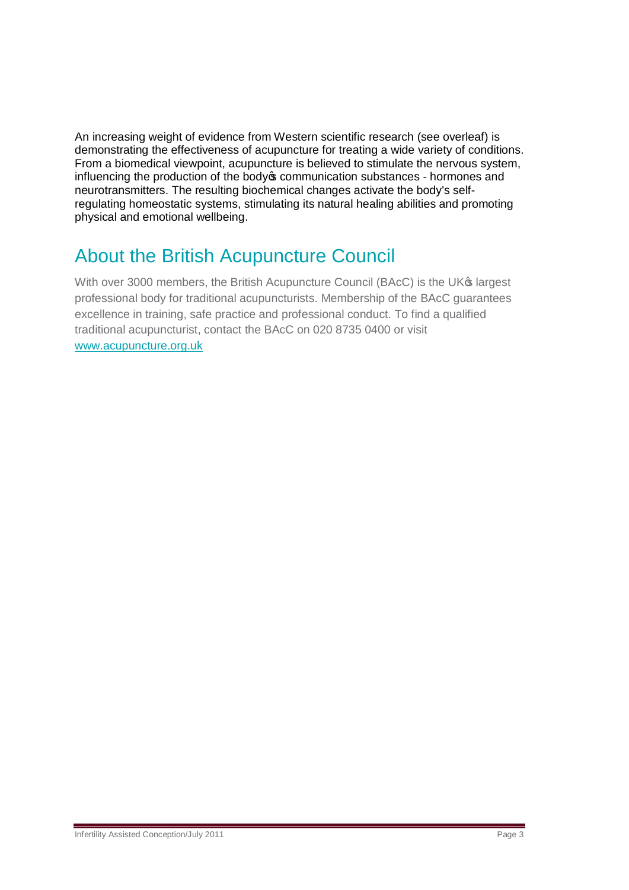An increasing weight of evidence from Western scientific research (see overleaf) is demonstrating the effectiveness of acupuncture for treating a wide variety of conditions. From a biomedical viewpoint, acupuncture is believed to stimulate the nervous system, influencing the production of the body ocommunication substances - hormones and neurotransmitters. The resulting biochemical changes activate the body's selfregulating homeostatic systems, stimulating its natural healing abilities and promoting physical and emotional wellbeing.

## About the British Acupuncture Council

With over 3000 members, the British Acupuncture Council (BAcC) is the UK<sup>®</sup> largest professional body for traditional acupuncturists. Membership of the BAcC guarantees excellence in training, safe practice and professional conduct. To find a qualified traditional acupuncturist, contact the BAcC on 020 8735 0400 or visit [www.acupuncture.org.uk](http://www.acupuncture.org.uk/)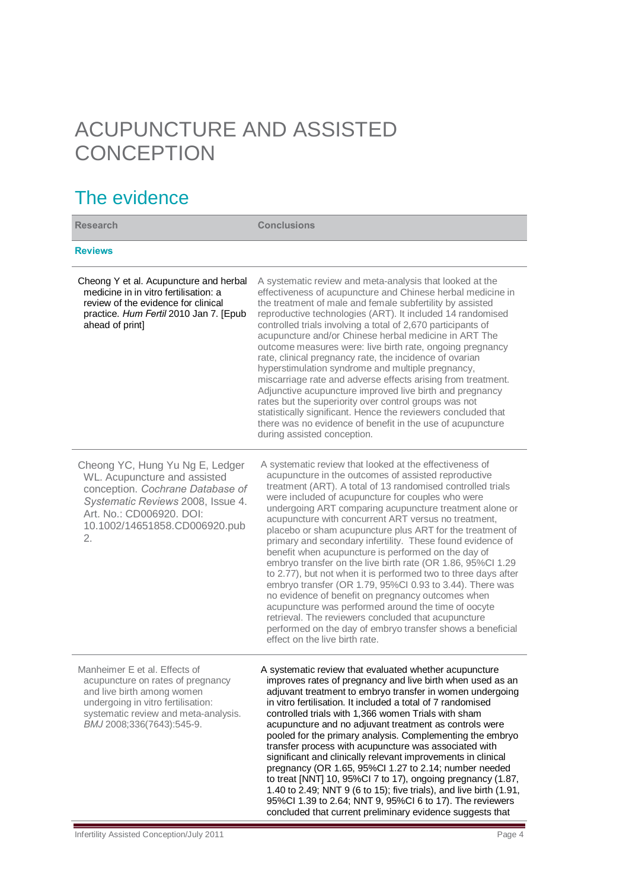# ACUPUNCTURE AND ASSISTED **CONCEPTION**

## The evidence

| <b>Research</b>                                                                                                                                                                                             | <b>Conclusions</b>                                                                                                                                                                                                                                                                                                                                                                                                                                                                                                                                                                                                                                                                                                                                                                                                                                                                                                                                                                                       |
|-------------------------------------------------------------------------------------------------------------------------------------------------------------------------------------------------------------|----------------------------------------------------------------------------------------------------------------------------------------------------------------------------------------------------------------------------------------------------------------------------------------------------------------------------------------------------------------------------------------------------------------------------------------------------------------------------------------------------------------------------------------------------------------------------------------------------------------------------------------------------------------------------------------------------------------------------------------------------------------------------------------------------------------------------------------------------------------------------------------------------------------------------------------------------------------------------------------------------------|
| <b>Reviews</b>                                                                                                                                                                                              |                                                                                                                                                                                                                                                                                                                                                                                                                                                                                                                                                                                                                                                                                                                                                                                                                                                                                                                                                                                                          |
| Cheong Y et al. Acupuncture and herbal<br>medicine in in vitro fertilisation: a<br>review of the evidence for clinical<br>practice. Hum Fertil 2010 Jan 7. [Epub<br>ahead of print]                         | A systematic review and meta-analysis that looked at the<br>effectiveness of acupuncture and Chinese herbal medicine in<br>the treatment of male and female subfertility by assisted<br>reproductive technologies (ART). It included 14 randomised<br>controlled trials involving a total of 2,670 participants of<br>acupuncture and/or Chinese herbal medicine in ART The<br>outcome measures were: live birth rate, ongoing pregnancy<br>rate, clinical pregnancy rate, the incidence of ovarian<br>hyperstimulation syndrome and multiple pregnancy,<br>miscarriage rate and adverse effects arising from treatment.<br>Adjunctive acupuncture improved live birth and pregnancy<br>rates but the superiority over control groups was not<br>statistically significant. Hence the reviewers concluded that<br>there was no evidence of benefit in the use of acupuncture<br>during assisted conception.                                                                                              |
| Cheong YC, Hung Yu Ng E, Ledger<br>WL. Acupuncture and assisted<br>conception. Cochrane Database of<br>Systematic Reviews 2008, Issue 4.<br>Art. No.: CD006920. DOI:<br>10.1002/14651858.CD006920.pub<br>2. | A systematic review that looked at the effectiveness of<br>acupuncture in the outcomes of assisted reproductive<br>treatment (ART). A total of 13 randomised controlled trials<br>were included of acupuncture for couples who were<br>undergoing ART comparing acupuncture treatment alone or<br>acupuncture with concurrent ART versus no treatment,<br>placebo or sham acupuncture plus ART for the treatment of<br>primary and secondary infertility. These found evidence of<br>benefit when acupuncture is performed on the day of<br>embryo transfer on the live birth rate (OR 1.86, 95%Cl 1.29<br>to 2.77), but not when it is performed two to three days after<br>embryo transfer (OR 1.79, 95%Cl 0.93 to 3.44). There was<br>no evidence of benefit on pregnancy outcomes when<br>acupuncture was performed around the time of oocyte<br>retrieval. The reviewers concluded that acupuncture<br>performed on the day of embryo transfer shows a beneficial<br>effect on the live birth rate. |
| Manheimer E et al. Effects of<br>acupuncture on rates of pregnancy<br>and live birth among women<br>undergoing in vitro fertilisation:<br>systematic review and meta-analysis.<br>BMJ 2008;336(7643):545-9. | A systematic review that evaluated whether acupuncture<br>improves rates of pregnancy and live birth when used as an<br>adjuvant treatment to embryo transfer in women undergoing<br>in vitro fertilisation. It included a total of 7 randomised<br>controlled trials with 1,366 women Trials with sham<br>acupuncture and no adjuvant treatment as controls were<br>pooled for the primary analysis. Complementing the embryo<br>transfer process with acupuncture was associated with<br>significant and clinically relevant improvements in clinical<br>pregnancy (OR 1.65, 95%Cl 1.27 to 2.14; number needed<br>to treat [NNT] 10, 95%Cl 7 to 17), ongoing pregnancy (1.87,<br>1.40 to 2.49; NNT 9 (6 to 15); five trials), and live birth (1.91,<br>95%Cl 1.39 to 2.64; NNT 9, 95%Cl 6 to 17). The reviewers<br>concluded that current preliminary evidence suggests that                                                                                                                           |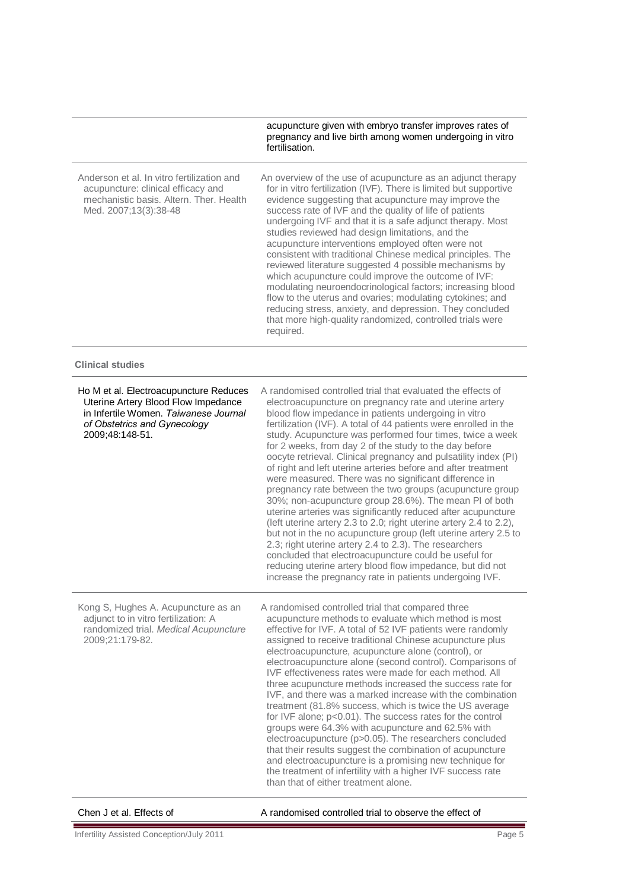|                                                                                                                                                                           | acupuncture given with embryo transfer improves rates of<br>pregnancy and live birth among women undergoing in vitro<br>fertilisation.                                                                                                                                                                                                                                                                                                                                                                                                                                                                                                                                                                                                                                                                                                                                                                                                                                                                                                                                                                                                           |
|---------------------------------------------------------------------------------------------------------------------------------------------------------------------------|--------------------------------------------------------------------------------------------------------------------------------------------------------------------------------------------------------------------------------------------------------------------------------------------------------------------------------------------------------------------------------------------------------------------------------------------------------------------------------------------------------------------------------------------------------------------------------------------------------------------------------------------------------------------------------------------------------------------------------------------------------------------------------------------------------------------------------------------------------------------------------------------------------------------------------------------------------------------------------------------------------------------------------------------------------------------------------------------------------------------------------------------------|
| Anderson et al. In vitro fertilization and<br>acupuncture: clinical efficacy and<br>mechanistic basis. Altern. Ther. Health<br>Med. 2007;13(3):38-48                      | An overview of the use of acupuncture as an adjunct therapy<br>for in vitro fertilization (IVF). There is limited but supportive<br>evidence suggesting that acupuncture may improve the<br>success rate of IVF and the quality of life of patients<br>undergoing IVF and that it is a safe adjunct therapy. Most<br>studies reviewed had design limitations, and the<br>acupuncture interventions employed often were not<br>consistent with traditional Chinese medical principles. The<br>reviewed literature suggested 4 possible mechanisms by<br>which acupuncture could improve the outcome of IVF:<br>modulating neuroendocrinological factors; increasing blood<br>flow to the uterus and ovaries; modulating cytokines; and<br>reducing stress, anxiety, and depression. They concluded<br>that more high-quality randomized, controlled trials were<br>required.                                                                                                                                                                                                                                                                      |
| <b>Clinical studies</b>                                                                                                                                                   |                                                                                                                                                                                                                                                                                                                                                                                                                                                                                                                                                                                                                                                                                                                                                                                                                                                                                                                                                                                                                                                                                                                                                  |
| Ho M et al. Electroacupuncture Reduces<br>Uterine Artery Blood Flow Impedance<br>in Infertile Women. Taiwanese Journal<br>of Obstetrics and Gynecology<br>2009;48:148-51. | A randomised controlled trial that evaluated the effects of<br>electroacupuncture on pregnancy rate and uterine artery<br>blood flow impedance in patients undergoing in vitro<br>fertilization (IVF). A total of 44 patients were enrolled in the<br>study. Acupuncture was performed four times, twice a week<br>for 2 weeks, from day 2 of the study to the day before<br>oocyte retrieval. Clinical pregnancy and pulsatility index (PI)<br>of right and left uterine arteries before and after treatment<br>were measured. There was no significant difference in<br>pregnancy rate between the two groups (acupuncture group<br>30%; non-acupuncture group 28.6%). The mean PI of both<br>uterine arteries was significantly reduced after acupuncture<br>(left uterine artery 2.3 to 2.0; right uterine artery 2.4 to 2.2),<br>but not in the no acupuncture group (left uterine artery 2.5 to<br>2.3; right uterine artery 2.4 to 2.3). The researchers<br>concluded that electroacupuncture could be useful for<br>reducing uterine artery blood flow impedance, but did not<br>increase the pregnancy rate in patients undergoing IVF. |
| Kong S, Hughes A. Acupuncture as an<br>adjunct to in vitro fertilization: A<br>randomized trial. Medical Acupuncture<br>2009;21:179-82.                                   | A randomised controlled trial that compared three<br>acupuncture methods to evaluate which method is most<br>effective for IVF. A total of 52 IVF patients were randomly<br>assigned to receive traditional Chinese acupuncture plus<br>electroacupuncture, acupuncture alone (control), or<br>electroacupuncture alone (second control). Comparisons of<br>IVF effectiveness rates were made for each method. All<br>three acupuncture methods increased the success rate for<br>IVF, and there was a marked increase with the combination<br>treatment (81.8% success, which is twice the US average<br>for IVF alone; p<0.01). The success rates for the control<br>groups were 64.3% with acupuncture and 62.5% with<br>electroacupuncture (p>0.05). The researchers concluded<br>that their results suggest the combination of acupuncture<br>and electroacupuncture is a promising new technique for<br>the treatment of infertility with a higher IVF success rate<br>than that of either treatment alone.                                                                                                                                |

Е

Chen J et al. Effects of  $\blacksquare$  A randomised controlled trial to observe the effect of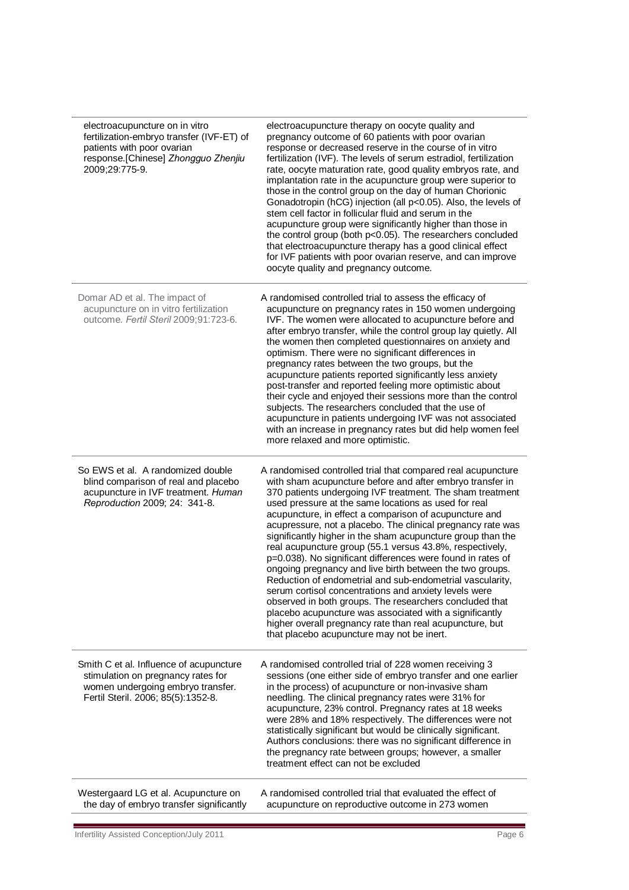| electroacupuncture on in vitro<br>fertilization-embryo transfer (IVF-ET) of<br>patients with poor ovarian<br>response.[Chinese] Zhongguo Zhenjiu<br>2009;29:775-9. | electroacupuncture therapy on oocyte quality and<br>pregnancy outcome of 60 patients with poor ovarian<br>response or decreased reserve in the course of in vitro<br>fertilization (IVF). The levels of serum estradiol, fertilization<br>rate, oocyte maturation rate, good quality embryos rate, and<br>implantation rate in the acupuncture group were superior to<br>those in the control group on the day of human Chorionic<br>Gonadotropin (hCG) injection (all p<0.05). Also, the levels of<br>stem cell factor in follicular fluid and serum in the<br>acupuncture group were significantly higher than those in<br>the control group (both p<0.05). The researchers concluded<br>that electroacupuncture therapy has a good clinical effect<br>for IVF patients with poor ovarian reserve, and can improve<br>oocyte quality and pregnancy outcome.                                                                                                                       |
|--------------------------------------------------------------------------------------------------------------------------------------------------------------------|-------------------------------------------------------------------------------------------------------------------------------------------------------------------------------------------------------------------------------------------------------------------------------------------------------------------------------------------------------------------------------------------------------------------------------------------------------------------------------------------------------------------------------------------------------------------------------------------------------------------------------------------------------------------------------------------------------------------------------------------------------------------------------------------------------------------------------------------------------------------------------------------------------------------------------------------------------------------------------------|
| Domar AD et al. The impact of<br>acupuncture on in vitro fertilization<br>outcome. Fertil Steril 2009;91:723-6.                                                    | A randomised controlled trial to assess the efficacy of<br>acupuncture on pregnancy rates in 150 women undergoing<br>IVF. The women were allocated to acupuncture before and<br>after embryo transfer, while the control group lay quietly. All<br>the women then completed questionnaires on anxiety and<br>optimism. There were no significant differences in<br>pregnancy rates between the two groups, but the<br>acupuncture patients reported significantly less anxiety<br>post-transfer and reported feeling more optimistic about<br>their cycle and enjoyed their sessions more than the control<br>subjects. The researchers concluded that the use of<br>acupuncture in patients undergoing IVF was not associated<br>with an increase in pregnancy rates but did help women feel<br>more relaxed and more optimistic.                                                                                                                                                  |
| So EWS et al. A randomized double<br>blind comparison of real and placebo<br>acupuncture in IVF treatment. Human<br>Reproduction 2009; 24: 341-8.                  | A randomised controlled trial that compared real acupuncture<br>with sham acupuncture before and after embryo transfer in<br>370 patients undergoing IVF treatment. The sham treatment<br>used pressure at the same locations as used for real<br>acupuncture, in effect a comparison of acupuncture and<br>acupressure, not a placebo. The clinical pregnancy rate was<br>significantly higher in the sham acupuncture group than the<br>real acupuncture group (55.1 versus 43.8%, respectively,<br>p=0.038). No significant differences were found in rates of<br>ongoing pregnancy and live birth between the two groups.<br>Reduction of endometrial and sub-endometrial vascularity,<br>serum cortisol concentrations and anxiety levels were<br>observed in both groups. The researchers concluded that<br>placebo acupuncture was associated with a significantly<br>higher overall pregnancy rate than real acupuncture, but<br>that placebo acupuncture may not be inert. |
| Smith C et al. Influence of acupuncture<br>stimulation on pregnancy rates for<br>women undergoing embryo transfer.<br>Fertil Steril. 2006; 85(5):1352-8.           | A randomised controlled trial of 228 women receiving 3<br>sessions (one either side of embryo transfer and one earlier<br>in the process) of acupuncture or non-invasive sham<br>needling. The clinical pregnancy rates were 31% for<br>acupuncture, 23% control. Pregnancy rates at 18 weeks<br>were 28% and 18% respectively. The differences were not<br>statistically significant but would be clinically significant.<br>Authors conclusions: there was no significant difference in<br>the pregnancy rate between groups; however, a smaller<br>treatment effect can not be excluded                                                                                                                                                                                                                                                                                                                                                                                          |
| Westergaard LG et al. Acupuncture on<br>the day of embryo transfer significantly                                                                                   | A randomised controlled trial that evaluated the effect of<br>acupuncture on reproductive outcome in 273 women                                                                                                                                                                                                                                                                                                                                                                                                                                                                                                                                                                                                                                                                                                                                                                                                                                                                      |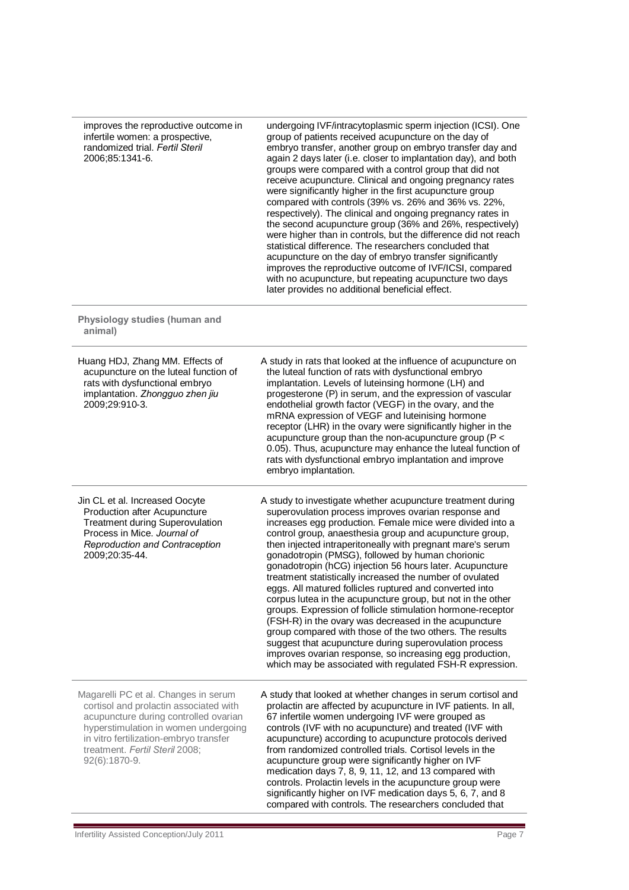improves the reproductive outcome in infertile women: a prospective, randomized trial. *Fertil Steril* 2006;85:1341-6.

undergoing IVF/intracytoplasmic sperm injection (ICSI). One group of patients received acupuncture on the day of embryo transfer, another group on embryo transfer day and again 2 days later (i.e. closer to implantation day), and both groups were compared with a control group that did not receive acupuncture. Clinical and ongoing pregnancy rates were significantly higher in the first acupuncture group compared with controls (39% vs. 26% and 36% vs. 22%, respectively). The clinical and ongoing pregnancy rates in the second acupuncture group (36% and 26%, respectively) were higher than in controls, but the difference did not reach statistical difference. The researchers concluded that acupuncture on the day of embryo transfer significantly improves the reproductive outcome of IVF/ICSI, compared with no acupuncture, but repeating acupuncture two days later provides no additional beneficial effect.

#### **Physiology studies (human and animal)**

| Huang HDJ, Zhang MM. Effects of<br>acupuncture on the luteal function of<br>rats with dysfunctional embryo<br>implantation. Zhongguo zhen jiu<br>2009;29:910-3.                                                                                              | A study in rats that looked at the influence of acupuncture on<br>the luteal function of rats with dysfunctional embryo<br>implantation. Levels of luteinsing hormone (LH) and<br>progesterone (P) in serum, and the expression of vascular<br>endothelial growth factor (VEGF) in the ovary, and the<br>mRNA expression of VEGF and luteinising hormone<br>receptor (LHR) in the ovary were significantly higher in the<br>acupuncture group than the non-acupuncture group ( $P <$<br>0.05). Thus, acupuncture may enhance the luteal function of<br>rats with dysfunctional embryo implantation and improve<br>embryo implantation.                                                                                                                                                                                                                                                                                                                                                |
|--------------------------------------------------------------------------------------------------------------------------------------------------------------------------------------------------------------------------------------------------------------|---------------------------------------------------------------------------------------------------------------------------------------------------------------------------------------------------------------------------------------------------------------------------------------------------------------------------------------------------------------------------------------------------------------------------------------------------------------------------------------------------------------------------------------------------------------------------------------------------------------------------------------------------------------------------------------------------------------------------------------------------------------------------------------------------------------------------------------------------------------------------------------------------------------------------------------------------------------------------------------|
| Jin CL et al. Increased Oocyte<br><b>Production after Acupuncture</b><br><b>Treatment during Superovulation</b><br>Process in Mice. Journal of<br>Reproduction and Contraception<br>2009;20:35-44.                                                           | A study to investigate whether acupuncture treatment during<br>superovulation process improves ovarian response and<br>increases egg production. Female mice were divided into a<br>control group, anaesthesia group and acupuncture group,<br>then injected intraperitoneally with pregnant mare's serum<br>gonadotropin (PMSG), followed by human chorionic<br>gonadotropin (hCG) injection 56 hours later. Acupuncture<br>treatment statistically increased the number of ovulated<br>eggs. All matured follicles ruptured and converted into<br>corpus lutea in the acupuncture group, but not in the other<br>groups. Expression of follicle stimulation hormone-receptor<br>(FSH-R) in the ovary was decreased in the acupuncture<br>group compared with those of the two others. The results<br>suggest that acupuncture during superovulation process<br>improves ovarian response, so increasing egg production,<br>which may be associated with regulated FSH-R expression. |
| Magarelli PC et al. Changes in serum<br>cortisol and prolactin associated with<br>acupuncture during controlled ovarian<br>hyperstimulation in women undergoing<br>in vitro fertilization-embryo transfer<br>treatment. Fertil Steril 2008;<br>92(6):1870-9. | A study that looked at whether changes in serum cortisol and<br>prolactin are affected by acupuncture in IVF patients. In all,<br>67 infertile women undergoing IVF were grouped as<br>controls (IVF with no acupuncture) and treated (IVF with<br>acupuncture) according to acupuncture protocols derived<br>from randomized controlled trials. Cortisol levels in the<br>acupuncture group were significantly higher on IVF<br>medication days 7, 8, 9, 11, 12, and 13 compared with<br>controls. Prolactin levels in the acupuncture group were<br>significantly higher on IVF medication days 5, 6, 7, and 8<br>compared with controls. The researchers concluded that                                                                                                                                                                                                                                                                                                            |